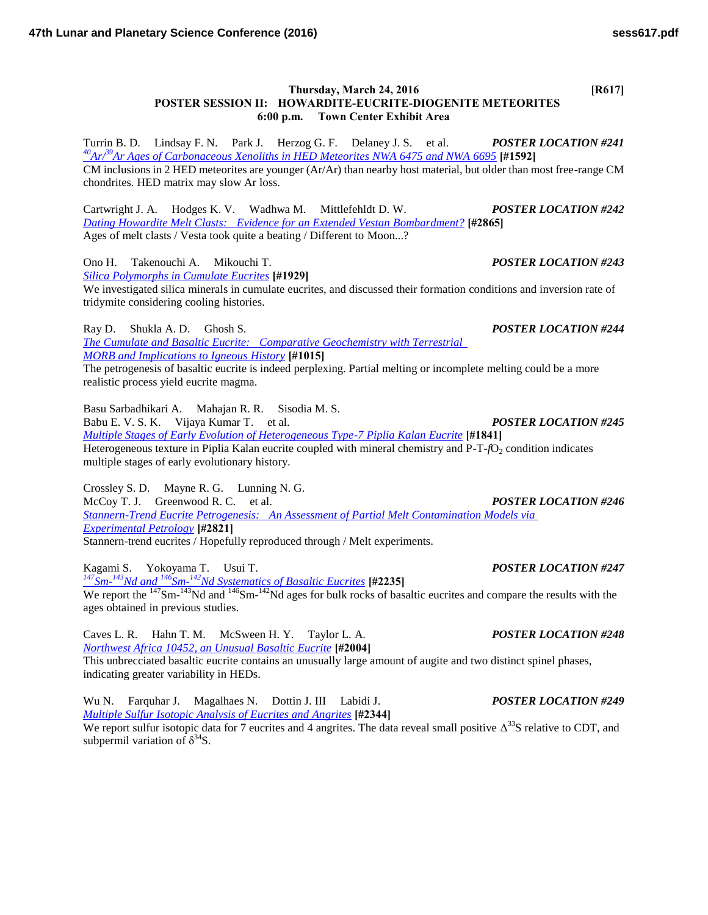## **Thursday, March 24, 2016 [R617] POSTER SESSION II: HOWARDITE-EUCRITE-DIOGENITE METEORITES 6:00 p.m. Town Center Exhibit Area**

Turrin B. D. Lindsay F. N. Park J. Herzog G. F. Delaney J. S. et al. *POSTER LOCATION #241 <sup>40</sup>Ar/<sup>39</sup>[Ar Ages of Carbonaceous Xenoliths in HED Meteorites NWA 6475 and NWA 6695](http://www.hou.usra.edu/meetings/lpsc2016/pdf/1592.pdf)* **[#1592]** CM inclusions in 2 HED meteorites are younger (Ar/Ar) than nearby host material, but older than most free-range CM chondrites. HED matrix may slow Ar loss.

Cartwright J. A. Hodges K. V. Wadhwa M. Mittlefehldt D. W. *POSTER LOCATION #242 [Dating Howardite Melt Clasts: Evidence for an Extended Vestan Bombardment?](http://www.hou.usra.edu/meetings/lpsc2016/pdf/2865.pdf)* **[#2865]** Ages of melt clasts / Vesta took quite a beating / Different to Moon...?

Ono H. Takenouchi A. Mikouchi T. *POSTER LOCATION #243*

*[Silica Polymorphs in Cumulate Eucrites](http://www.hou.usra.edu/meetings/lpsc2016/pdf/1929.pdf)* **[#1929]**

We investigated silica minerals in cumulate eucrites, and discussed their formation conditions and inversion rate of tridymite considering cooling histories.

Ray D. Shukla A. D. Ghosh S. *POSTER LOCATION #244*

*[The Cumulate and Basaltic Eucrite: Comparative Geochemistry with Terrestrial](http://www.hou.usra.edu/meetings/lpsc2016/pdf/1015.pdf)  [MORB and Implications to Igneous History](http://www.hou.usra.edu/meetings/lpsc2016/pdf/1015.pdf)* **[#1015]**

The petrogenesis of basaltic eucrite is indeed perplexing. Partial melting or incomplete melting could be a more realistic process yield eucrite magma.

Basu Sarbadhikari A. Mahajan R. R. Sisodia M. S. Babu E. V. S. K. Vijaya Kumar T. et al. *POSTER LOCATION #245 [Multiple Stages of Early Evolution of Heterogeneous Type-7 Piplia Kalan Eucrite](http://www.hou.usra.edu/meetings/lpsc2016/pdf/1841.pdf)* **[#1841]** Heterogeneous texture in Piplia Kalan eucrite coupled with mineral chemistry and P-T-*f*O<sub>2</sub> condition indicates multiple stages of early evolutionary history.

Crossley S. D. Mayne R. G. Lunning N. G. McCoy T. J. Greenwood R. C. et al. *POSTER LOCATION #246 [Stannern-Trend Eucrite Petrogenesis: An Assessment of Partial Melt Contamination Models via](http://www.hou.usra.edu/meetings/lpsc2016/pdf/2821.pdf)  [Experimental Petrology](http://www.hou.usra.edu/meetings/lpsc2016/pdf/2821.pdf)* **[#2821]** Stannern-trend eucrites / Hopefully reproduced through / Melt experiments.

Kagami S. Yokoyama T. Usui T. *POSTER LOCATION #247 <sup>147</sup>Sm-<sup>143</sup>Nd and <sup>146</sup>Sm-<sup>142</sup>[Nd Systematics of Basaltic Eucrites](http://www.hou.usra.edu/meetings/lpsc2016/pdf/2235.pdf)* **[#2235]** We report the  $^{147}$ Sm- $^{143}$ Nd and  $^{146}$ Sm- $^{142}$ Nd ages for bulk rocks of basaltic eucrites and compare the results with the ages obtained in previous studies.

Caves L. R. Hahn T. M. McSween H. Y. Taylor L. A. *POSTER LOCATION #248 [Northwest Africa 10452, an Unusual Basaltic Eucrite](http://www.hou.usra.edu/meetings/lpsc2016/pdf/2004.pdf)* **[#2004]** This unbrecciated basaltic eucrite contains an unusually large amount of augite and two distinct spinel phases, indicating greater variability in HEDs.

Wu N. Farquhar J. Magalhaes N. Dottin J. III Labidi J. *POSTER LOCATION #249 [Multiple Sulfur Isotopic Analysis of Eucrites and Angrites](http://www.hou.usra.edu/meetings/lpsc2016/pdf/2344.pdf)* **[#2344]**

We report sulfur isotopic data for 7 eucrites and 4 angrites. The data reveal small positive  $\Delta^{33}$ S relative to CDT, and subpermil variation of  $\delta^{34}$ S.